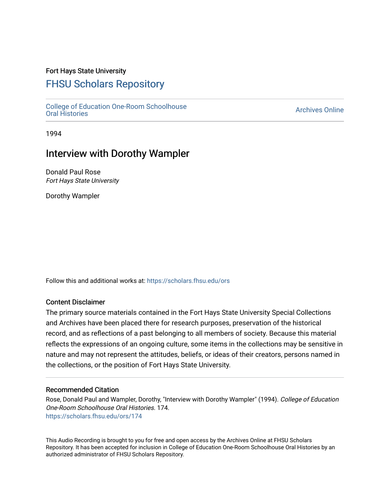## Fort Hays State University

# [FHSU Scholars Repository](https://scholars.fhsu.edu/)

[College of Education One-Room Schoolhouse](https://scholars.fhsu.edu/ors) [Oral Histories](https://scholars.fhsu.edu/ors) [Archives Online](https://scholars.fhsu.edu/archives) 

1994

## Interview with Dorothy Wampler

Donald Paul Rose Fort Hays State University

Dorothy Wampler

Follow this and additional works at: [https://scholars.fhsu.edu/ors](https://scholars.fhsu.edu/ors?utm_source=scholars.fhsu.edu%2Fors%2F174&utm_medium=PDF&utm_campaign=PDFCoverPages) 

### Content Disclaimer

The primary source materials contained in the Fort Hays State University Special Collections and Archives have been placed there for research purposes, preservation of the historical record, and as reflections of a past belonging to all members of society. Because this material reflects the expressions of an ongoing culture, some items in the collections may be sensitive in nature and may not represent the attitudes, beliefs, or ideas of their creators, persons named in the collections, or the position of Fort Hays State University.

#### Recommended Citation

Rose, Donald Paul and Wampler, Dorothy, "Interview with Dorothy Wampler" (1994). College of Education One-Room Schoolhouse Oral Histories. 174. [https://scholars.fhsu.edu/ors/174](https://scholars.fhsu.edu/ors/174?utm_source=scholars.fhsu.edu%2Fors%2F174&utm_medium=PDF&utm_campaign=PDFCoverPages) 

This Audio Recording is brought to you for free and open access by the Archives Online at FHSU Scholars Repository. It has been accepted for inclusion in College of Education One-Room Schoolhouse Oral Histories by an authorized administrator of FHSU Scholars Repository.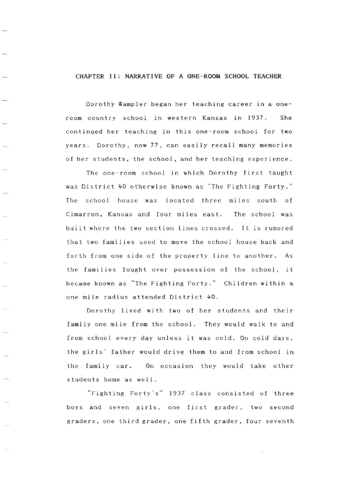#### CHAPTER II: **NARRATIVE OF A ONE- ROOM SCHOOL TEACHER**

Dorothy Wampler began her teaching career in a oneroom country school in western Kansas in 1937. She continued her teaching in this one-room school for two years. Dorothy, now 77, can easily recall many memories of her students, the school, and her teaching experience.

The one-room school in which Dorothy first taught was District 40 otherwise known as "The Fighting Forty." The school house was located three miles south of Cimarron, Kansas and four miles east. The school was built where the two section lines crossed. It is rumored that two families used to move the school house back and forth from one side of the property line to another. As the families fought over possession of the school, it became known as "The Fighting Forty." Children within a one mile radius attended District 40 .

Dorothy lived with two of her students and their family one mile from the school. They would walk to and from school every day unless it was cold. On cold days, the girls' father would drive them to and from school in the family car. On occasion they would take other students home as well .

"Fighting Forty's" 1937 class consisted of three boys and seven girls, one first grader, two second graders, one third grader, one fifth grader, four seventh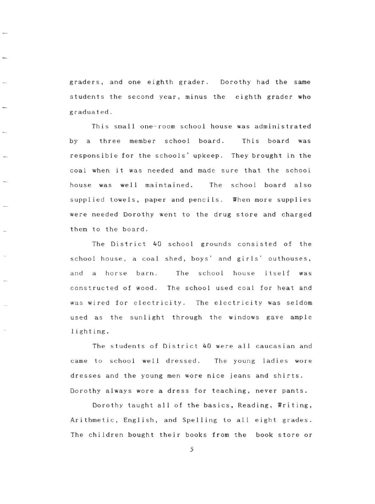graders, and one eighth grader. Dorothy had the same students the second year, minus the eighth grader who graduated.

This small one-room school house was administrated by a three member school board. This board was responsible for the schools' upkeep. They brought in the coal when it was needed and made sure that the school house was well maintained. The school board also supplied towels, paper and pencils. When more supplies were needed Dorothy went to the drug store and charged them to the board.

The District 40 school grounds consisted of the school house, a coal shed, boys' and girls' outhouses, and a horse barn. The school house itself was constructed of wood. The school used coal for heat and was wired for electricity. The electricity was seldom used as the sunlight through the windows **gave** ample lighting.

The students of District 40 were all caucasian and came to school well dressed. The young ladies wore dresses and the young men wore nice jeans and shirts . Dorothy always wore a dress for teaching, never pants.

Dorothy taught all of the basics, Reading, Writing, Arithmetic, English, and Spelling to all eight grades. The children bought their books from the book store or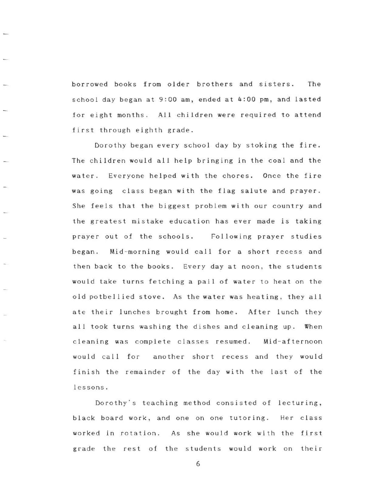borrowed books from older brothers and sisters. The school day began at 9:00 am, ended at 4:00 pm, and lasted for eight months. All children were required to attend first through eighth grade.

Dorothy began every school day by stoking the fire. The children would all help bringing in the coal and the water. Everyone helped with the chores. Once the fire was going class began with the flag salute and prayer. She feels that the biggest problem with our country and the greatest mistake education has ever made is taking prayer out of the schools. Following prayer studies began. Mid-morning would call for a short recess and then back to the books. Every day at noon, the students would take turns fetching a pail of water to heat on the old potbellied stove. As the water was heating, they all ate their lunches brought from home. After lunch they all took turns washing the dishes and cleaning up. When cleaning was complete classes resumed. Mid-afternoon would call for another short recess and they would finish the remainder of the day with the last of the lessons.

Dorothy's teaching me thod consisted of lecturing, black board work, and one on one tutoring. Her class work ed in rotation . As she would work with the first grade the rest of the students would work on their

6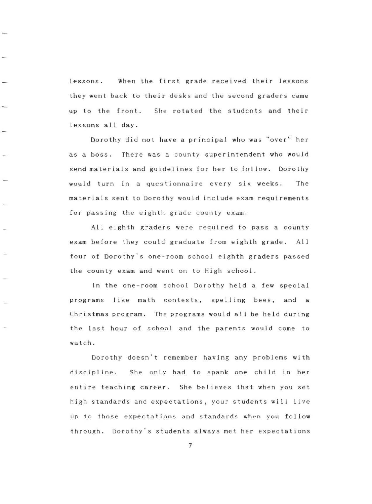lessons. When the first grade received their lessons they went back to their desks and the second graders came up to the front. She rotated the students and their lessons all day.

Dorothy did not have a principal who was "over" her as a boss. There was a county superintendent who would send materials and guidelines for her to follow. Dorothy would turn in a questionnaire every six **weeks.** The materials sent to Dorothy would include exam requirements for passing the eighth grade county exam.

All eighth graders were required to pass a county exam before they could graduate from eighth grade. All four of Dorothy's one-room school eighth graders passed the county exam and went on to High school.

In the one-room school Dorothy held a few special programs like math contests, spelling bees, and a Christmas program. The programs would all be held during the last hour of school and the parents would come to watch.

Dorothy doesn't remember having any problems with discipline. She only had to spank one child in her entire teaching career. She believes that when you set high standards and expectations, your students will live up to those expectations and standards when you follow thr ough . Dorothy's students always met her expectations

7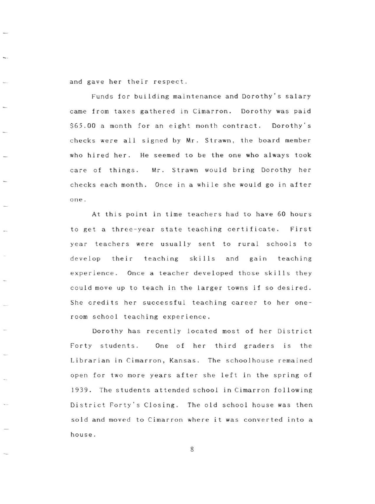and gave her their respect.

Funds for building maintenance and Dorothy's salary came from taxes gathered in Cimarron. Dorothy was paid \$65.00 a month for an eight month contract. Dorothy's checks were all signed by Mr. Strawn, the board member who hired her. He seemed to be the one who always took care of things. Mr. Strawn would bring Dorothy her checks each month. Once in a while she would go in after one.

At this point in time teachers had to have 60 hours to get a three-year state teaching certificate. First year teachers were usually sent to rural schools to develop their teaching skills and gain teaching experience. Once a teacher developed those skills they could move up to teach in the larger towns if so desired. She credits her successful teaching career to her oneroom school teaching experience.

Dorothy has recently located most of her District Forty students. One of her third graders is the Librarian in Cimarron, Kansas. The schoolhouse remained open for two more years after she left in the spring of 1939. The students attended school in Cimarron following District Forty's Closing. The old school house was then sold and moved to Cimarron where it was converted into a house.

8